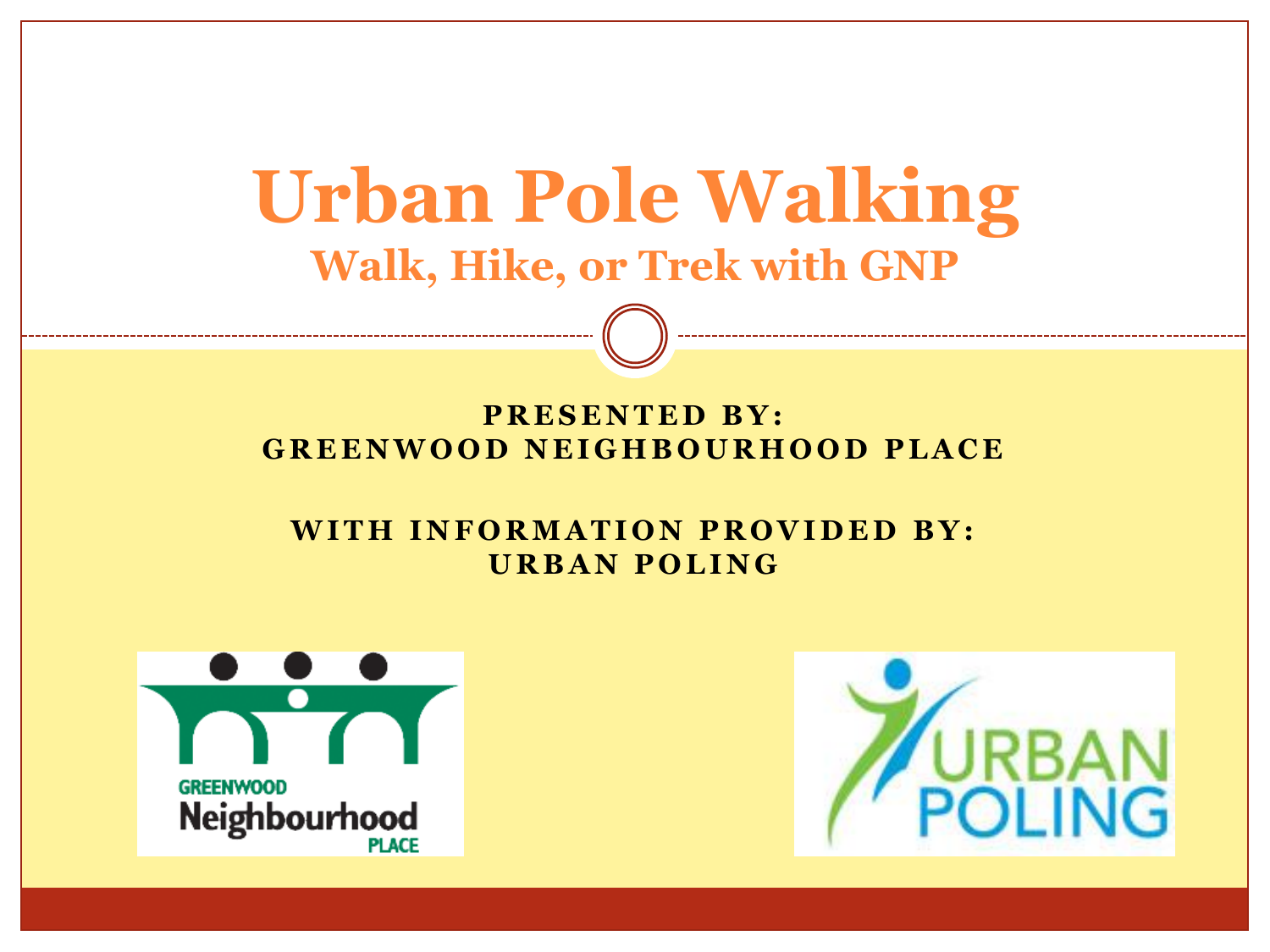# **Urban Pole Walking Walk, Hike, or Trek with GNP**

#### **PRESENTED BY: G R E E N W O O D N E I G H B O U R H O O D P L A C E**

#### **WITH INFORMATION PROVIDED BY: U R B A N P O L I N G**



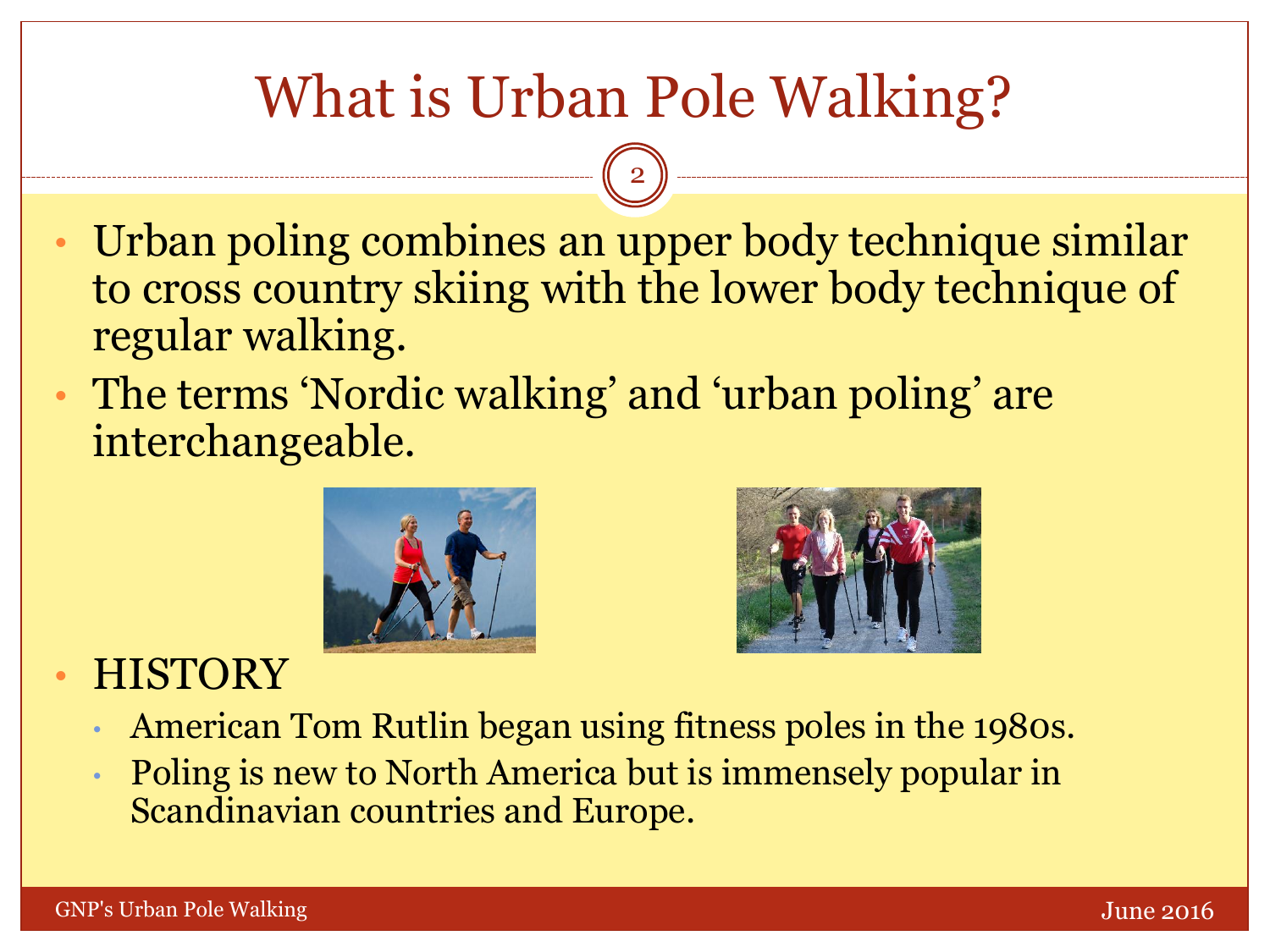# What is Urban Pole Walking?

2

- Urban poling combines an upper body technique similar to cross country skiing with the lower body technique of regular walking.
- The terms 'Nordic walking' and 'urban poling' are interchangeable.





### **HISTORY**

- American Tom Rutlin began using fitness poles in the 1980s.
- Poling is new to North America but is immensely popular in Scandinavian countries and Europe.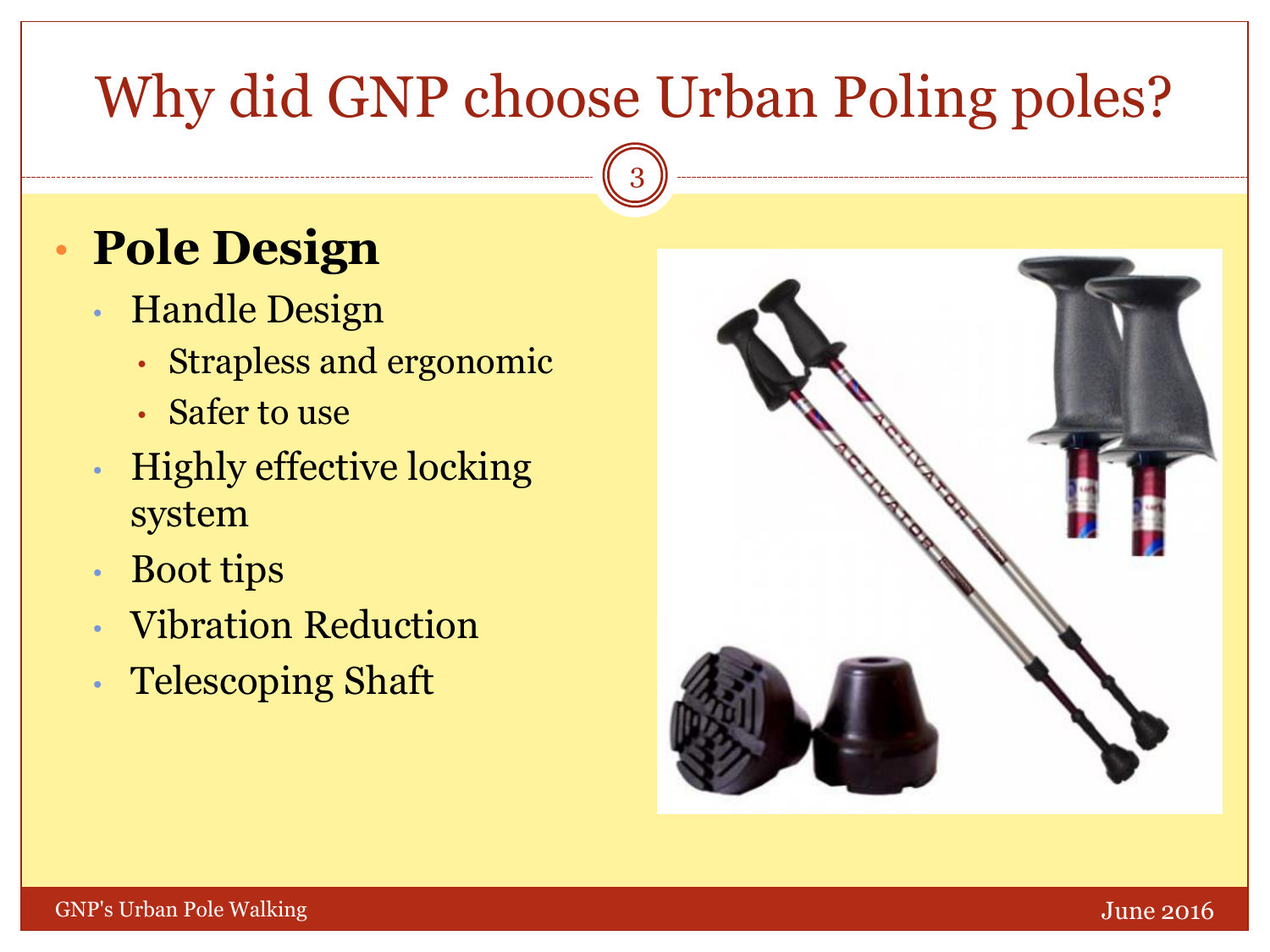# Why did GNP choose Urban Poling poles?

3

# • **Pole Design**

- Handle Design
	- Strapless and ergonomic
	- Safer to use
- Highly effective locking system
- Boot tips
- Vibration Reduction
- Telescoping Shaft

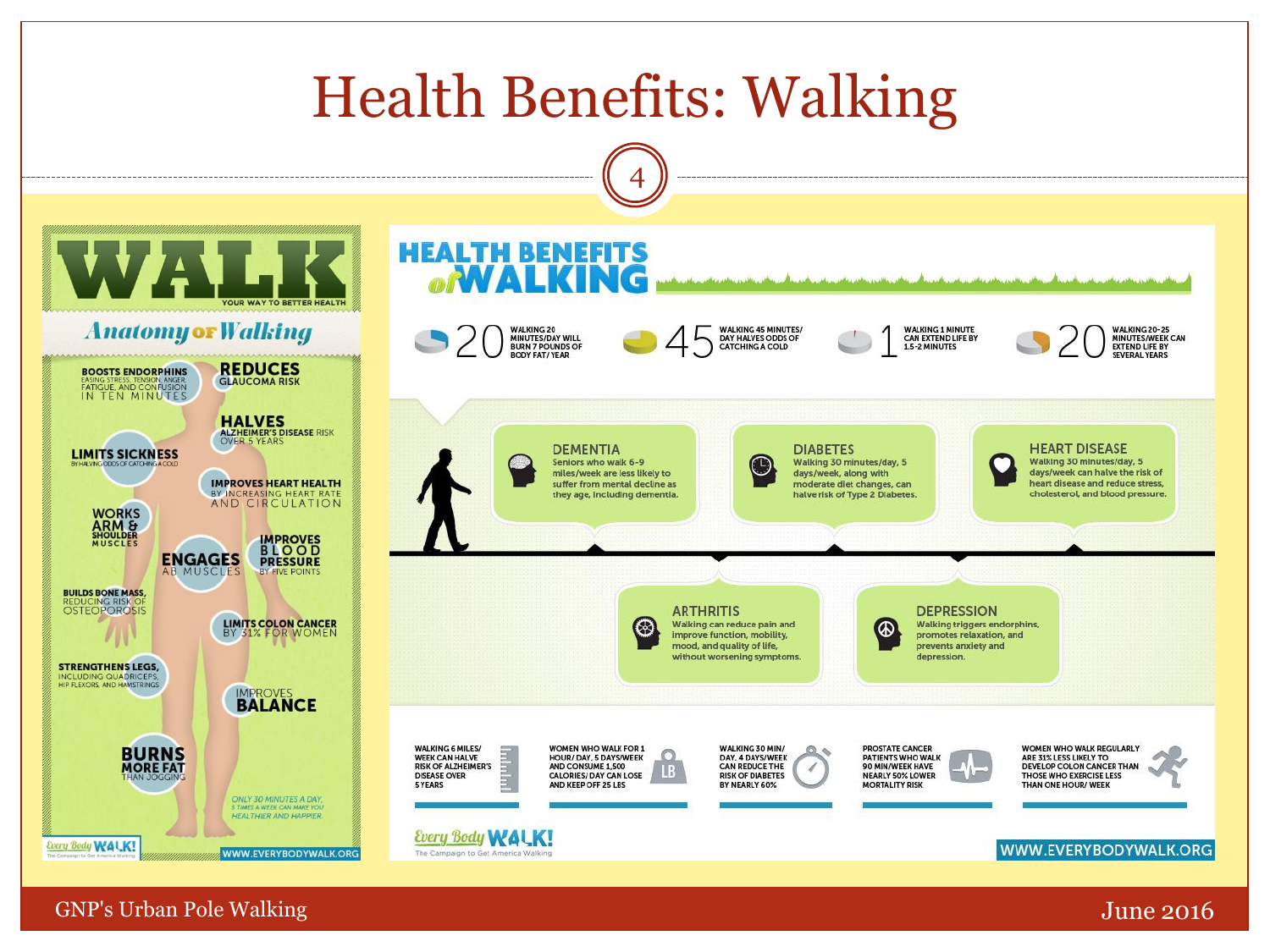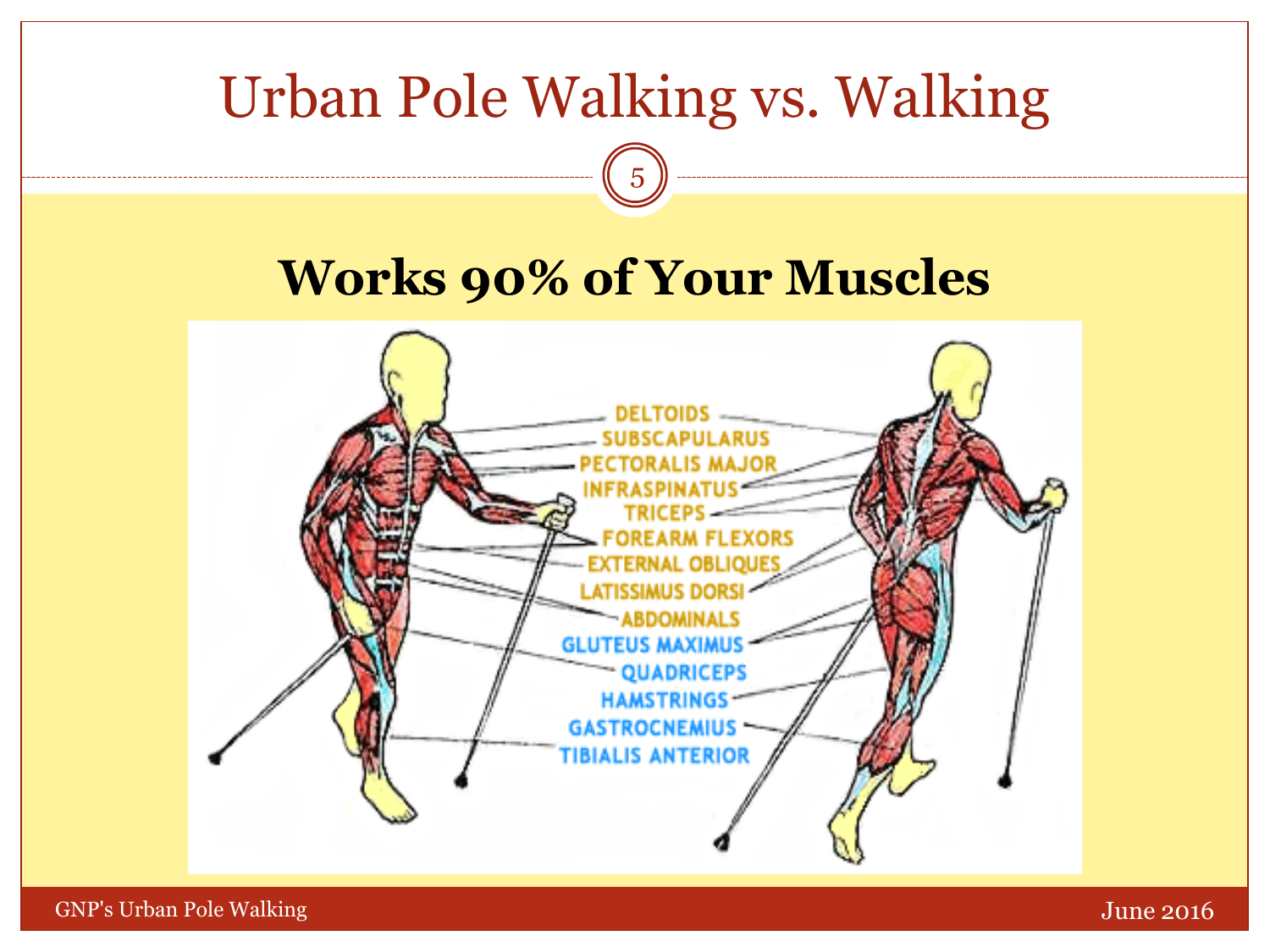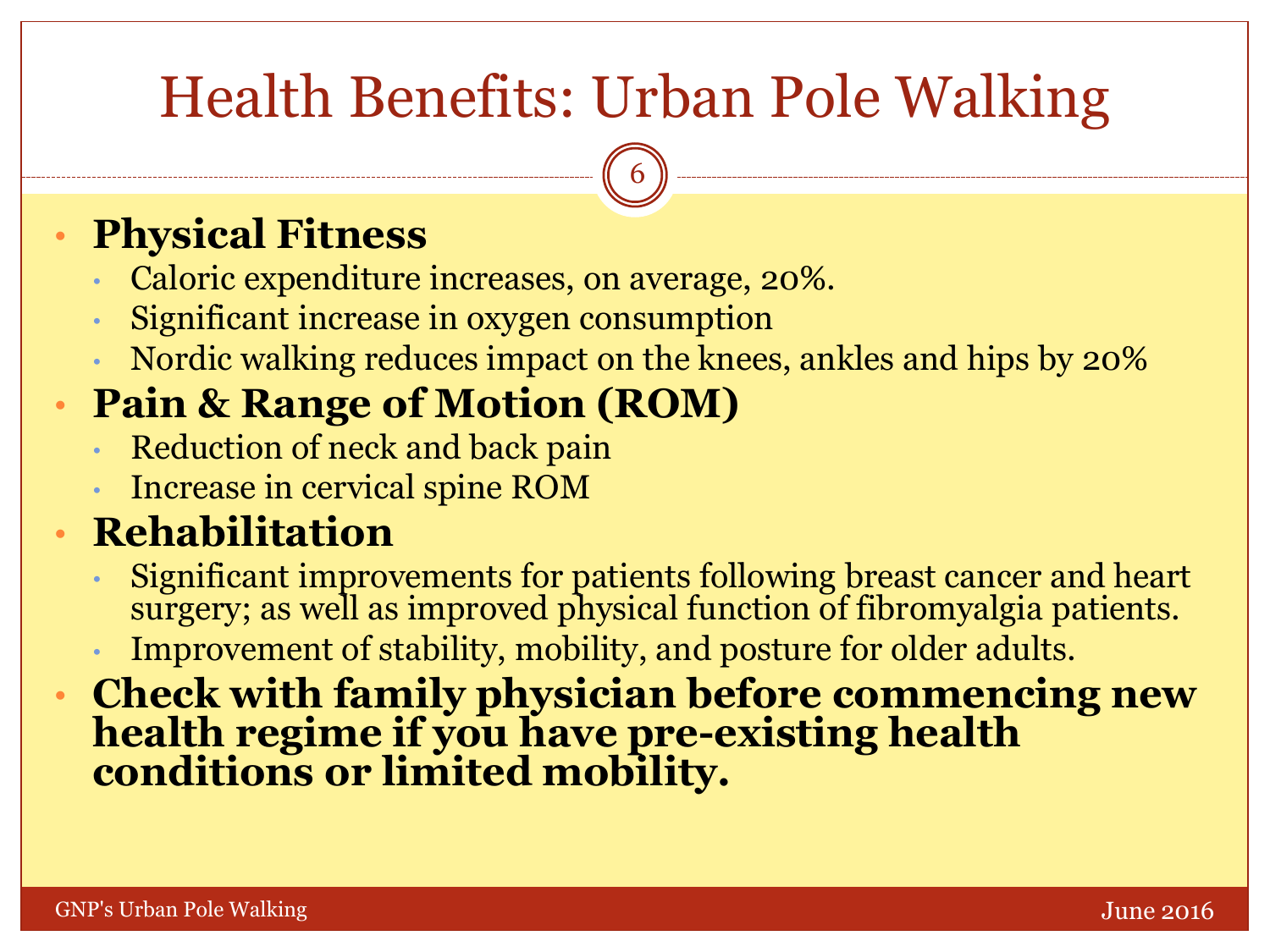# Health Benefits: Urban Pole Walking

6

## • **Physical Fitness**

- Caloric expenditure increases, on average, 20%.
- Significant increase in oxygen consumption
- Nordic walking reduces impact on the knees, ankles and hips by 20%

## • **Pain & Range of Motion (ROM)**

- Reduction of neck and back pain
- Increase in cervical spine ROM

## • **Rehabilitation**

- Significant improvements for patients following breast cancer and heart surgery; as well as improved physical function of fibromyalgia patients.
- Improvement of stability, mobility, and posture for older adults.
- **Check with family physician before commencing new health regime if you have pre-existing health conditions or limited mobility.**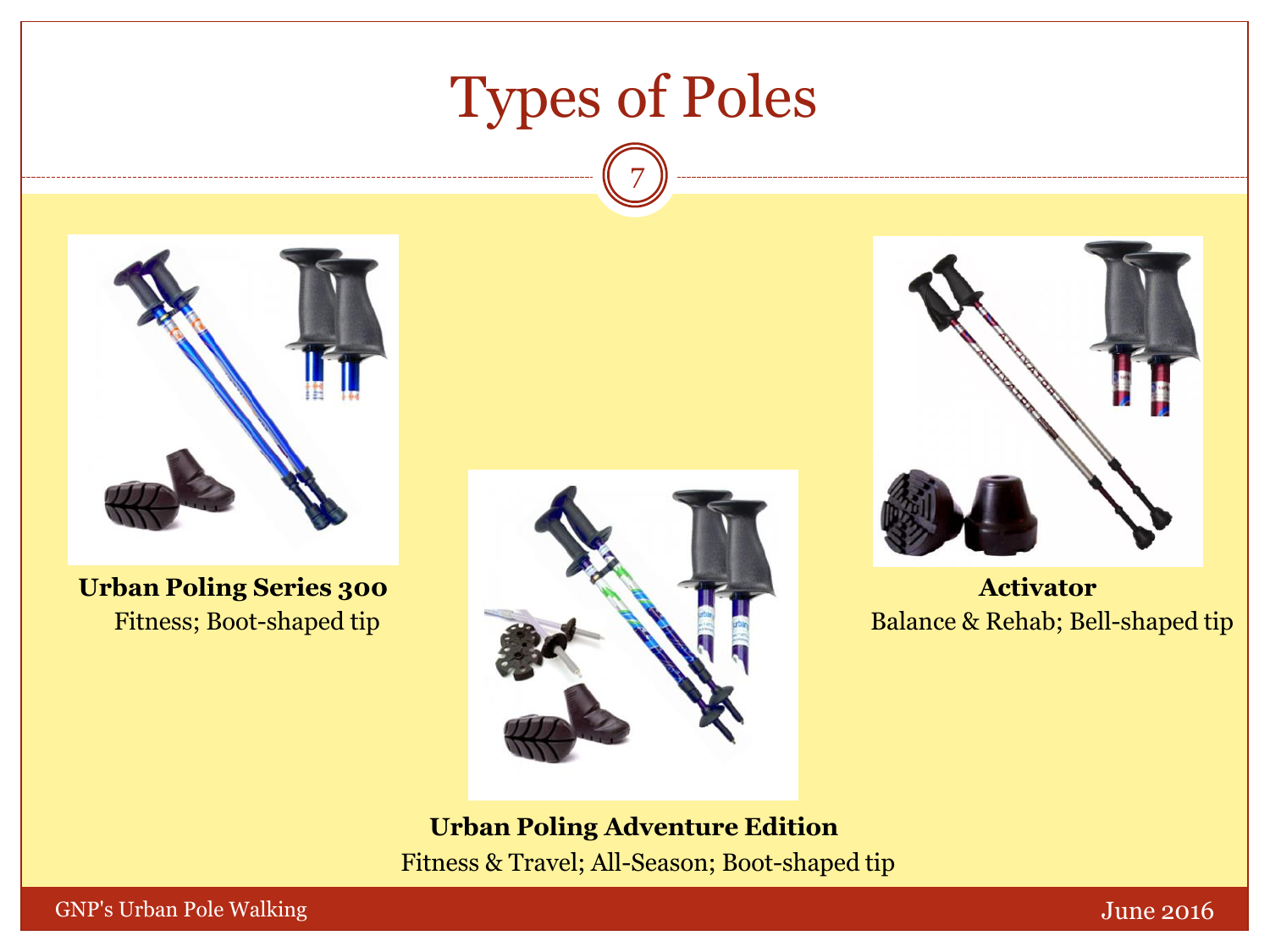# Types of Poles

7



**Urban Poling Series 300** Fitness; Boot-shaped tip





**Activator** Balance & Rehab; Bell-shaped tip

**Urban Poling Adventure Edition**

Fitness & Travel; All-Season; Boot-shaped tip

GNP's Urban Pole Walking The Contract of the Contract of the Contract of the Contract of the Contract of the Contract of the Contract of the Contract of the Contract of the Contract of the Contract of the Contract of the C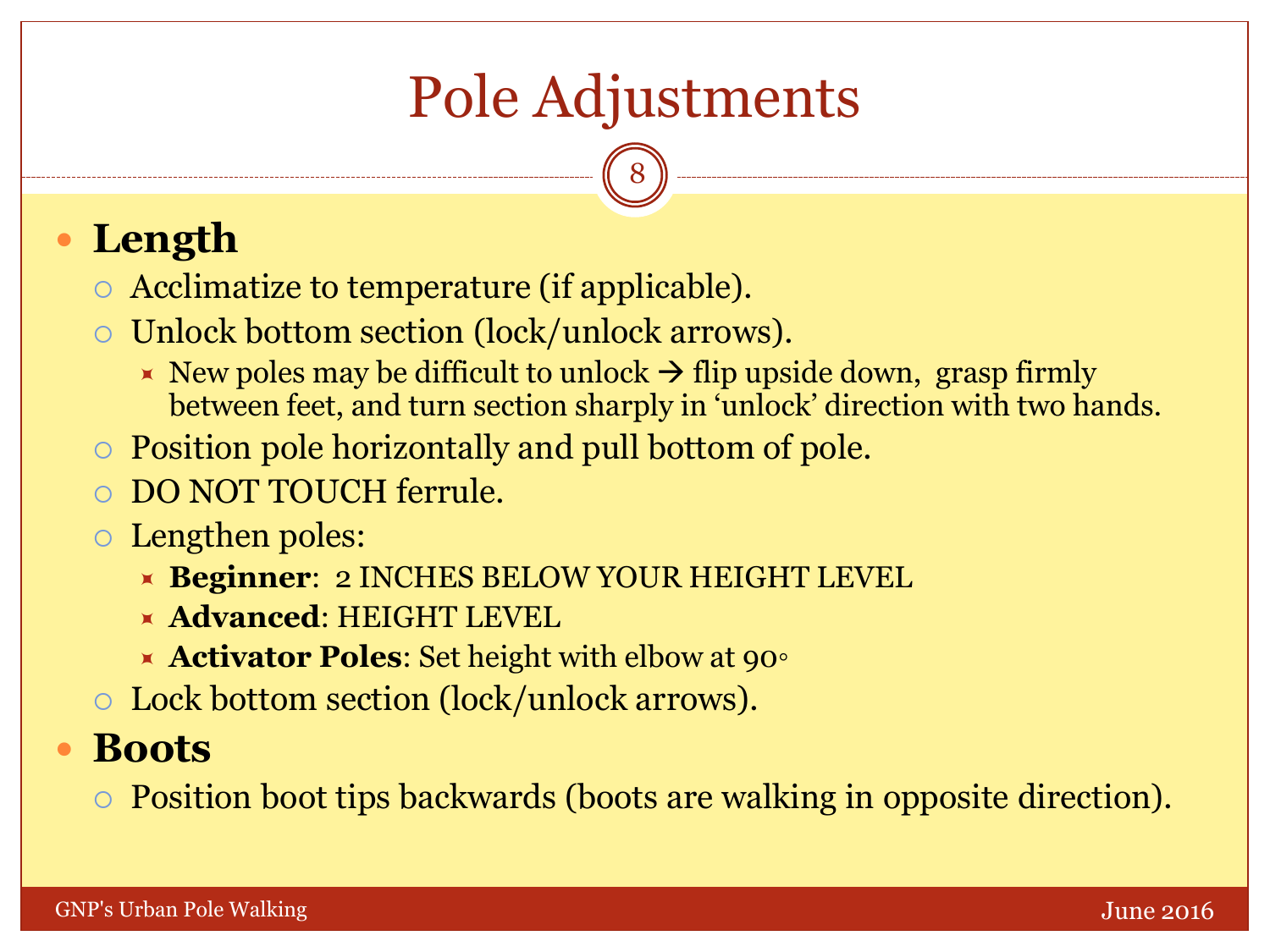# Pole Adjustments

8

## **Length**

- Acclimatize to temperature (if applicable).
- Unlock bottom section (lock/unlock arrows).
	- New poles may be difficult to unlock  $\rightarrow$  flip upside down, grasp firmly between feet, and turn section sharply in 'unlock' direction with two hands.
- Position pole horizontally and pull bottom of pole.
- DO NOT TOUCH ferrule.
- Lengthen poles:
	- **Beginner**: 2 INCHES BELOW YOUR HEIGHT LEVEL
	- **Advanced**: HEIGHT LEVEL
	- **Activator Poles**: Set height with elbow at 90◦
- Lock bottom section (lock/unlock arrows).

### **Boots**

Position boot tips backwards (boots are walking in opposite direction).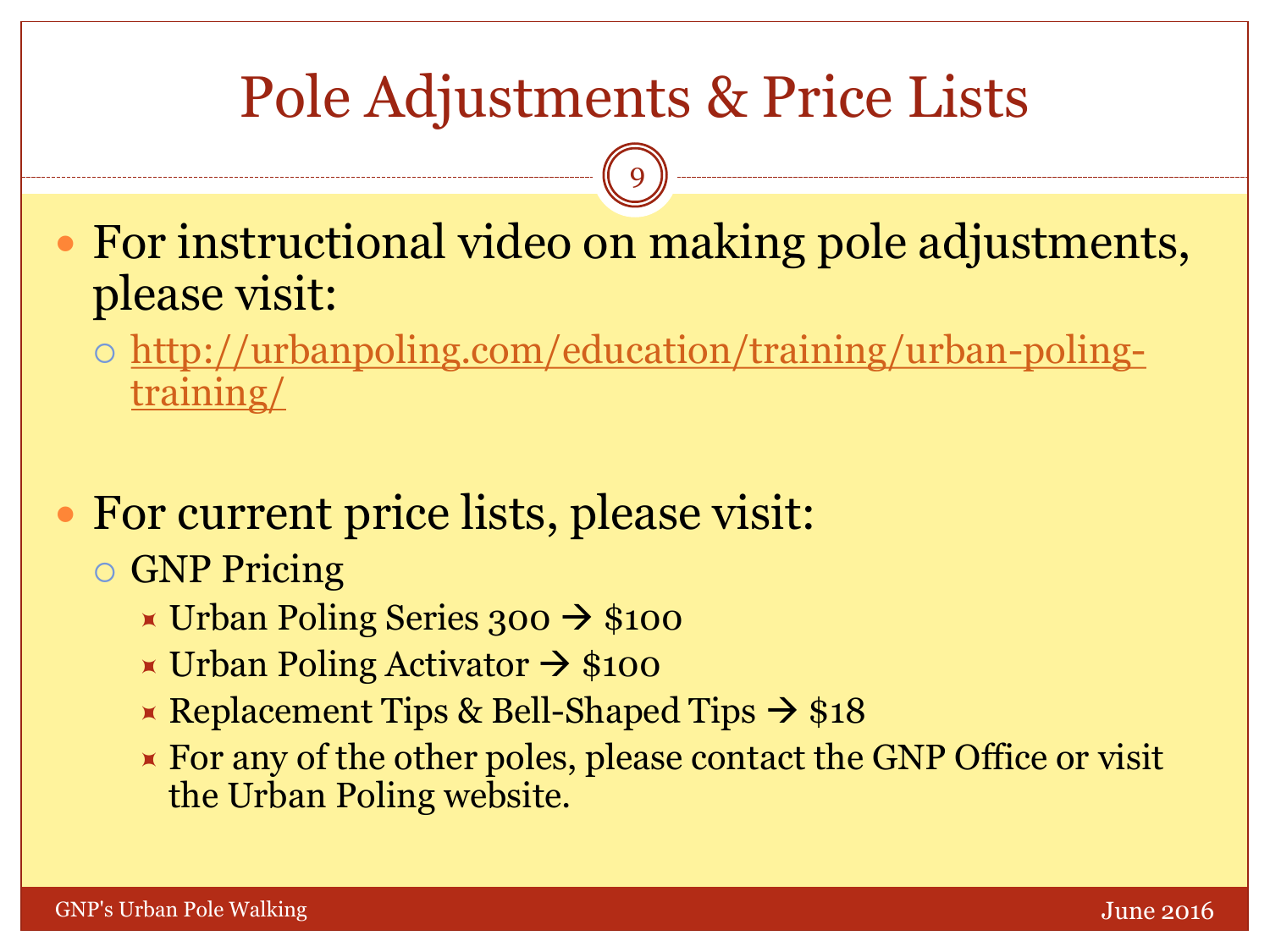# Pole Adjustments & Price Lists

9

 For instructional video on making pole adjustments, please visit:

- o [http://urbanpoling.com/education/training/urban-poling](http://urbanpoling.com/education/training/urban-poling-training/)training/
- For current price lists, please visit:
	- GNP Pricing
		- $\times$  Urban Poling Series 300  $\rightarrow$  \$100
		- $\times$  Urban Poling Activator  $\rightarrow$  \$100
		- Replacement Tips & Bell-Shaped Tips  $\rightarrow$  \$18
		- **Example 1** For any of the other poles, please contact the GNP Office or visit the Urban Poling website.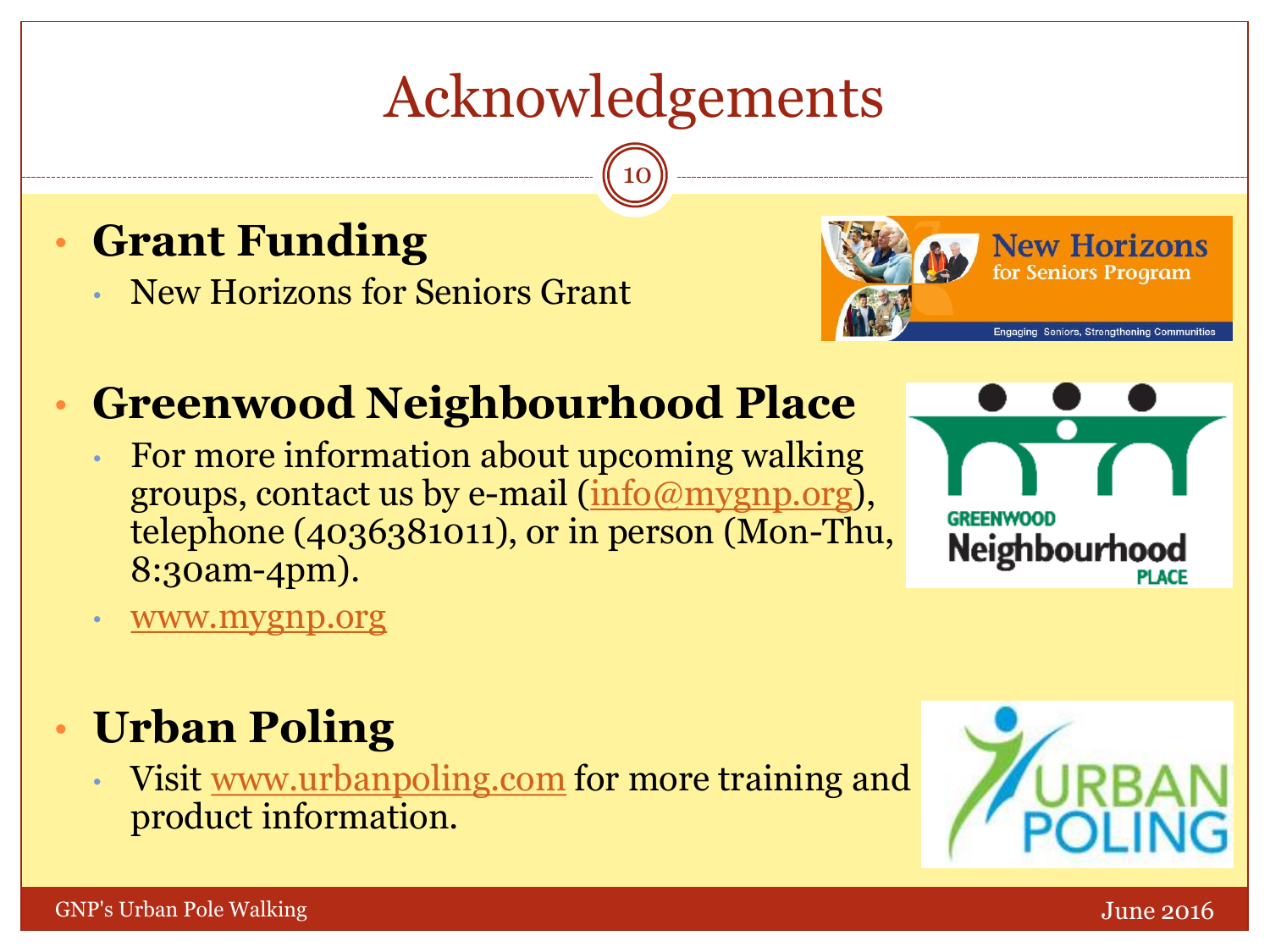# Acknowledgements

10

## • **Grant Funding**

• New Horizons for Seniors Grant



## • **Greenwood Neighbourhood Place**

• For more information about upcoming walking groups, contact us by e-mail ([info@mygnp.org\)](mailto:info@mygnp.org), telephone (4036381011), or in person (Mon-Thu, 8:30am-4pm).



• [www.mygnp.org](http://www.mygnp.org/)

## • **Urban Poling**

• Visit [www.urbanpoling.com](http://www.urbanpoling.com/) for more training and product information.

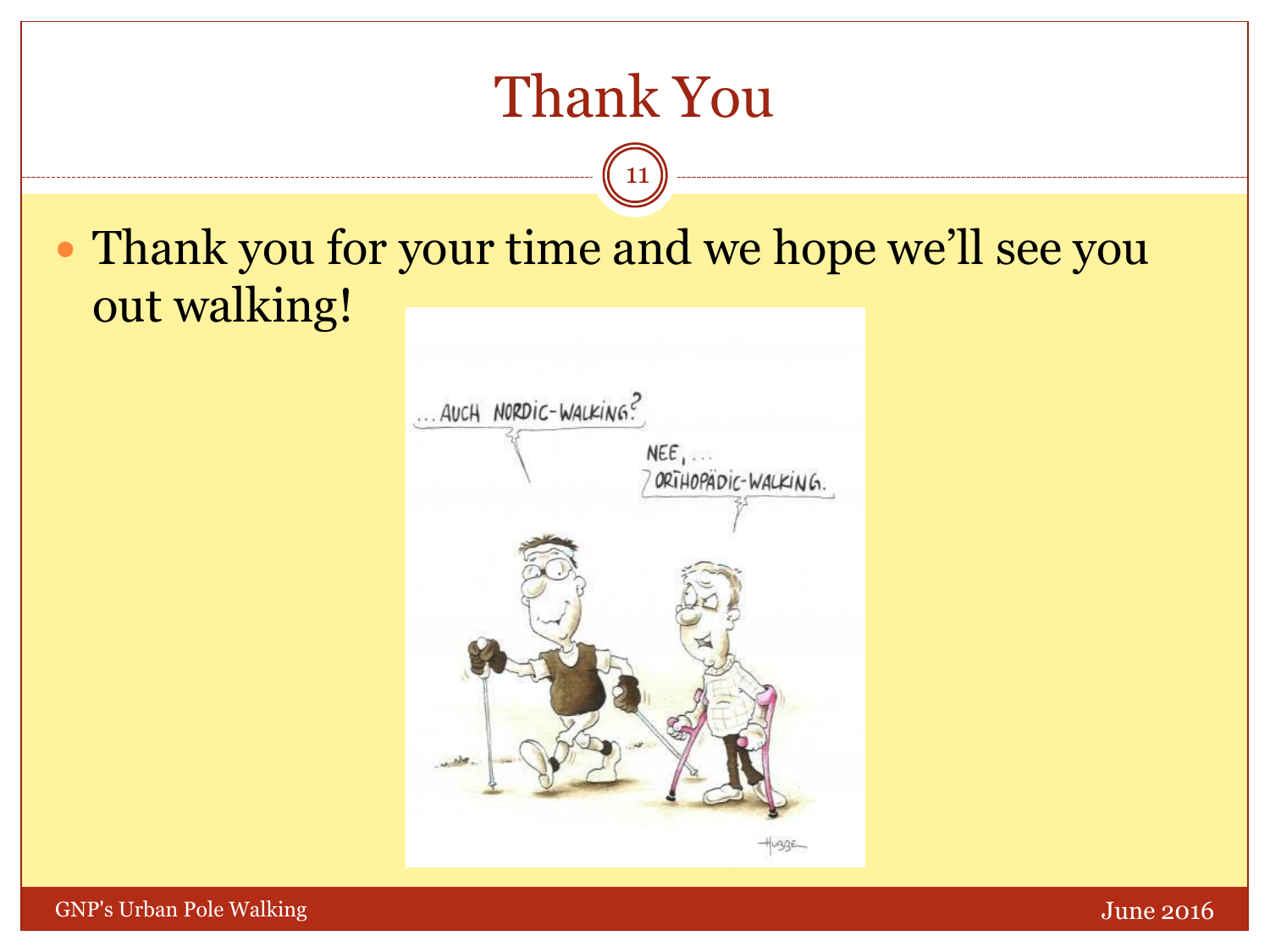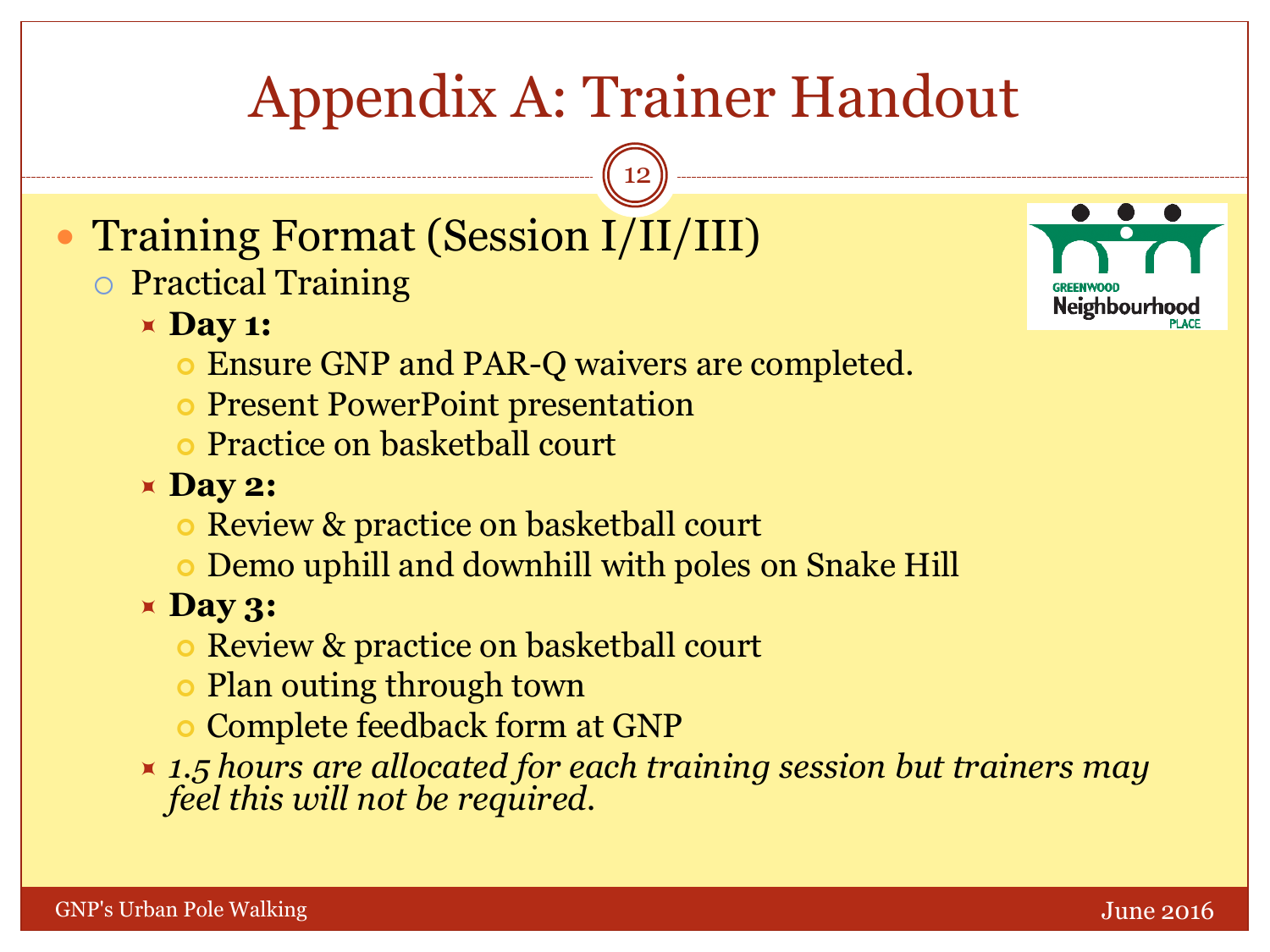# Appendix A: Trainer Handout

12

- Training Format (Session I/II/III)
	- o Practical Training
		- $\times$  Day 1:
			- **Ensure GNP and PAR-Q waivers are completed.**
			- Present PowerPoint presentation
			- Practice on basketball court
		- **Day 2:**
			- Review & practice on basketball court
			- Demo uphill and downhill with poles on Snake Hill
		- **Day 3:**
			- **Review & practice on basketball court**
			- Plan outing through town
			- Complete feedback form at GNP
		- *1.5 hours are allocated for each training session but trainers may feel this will not be required.*

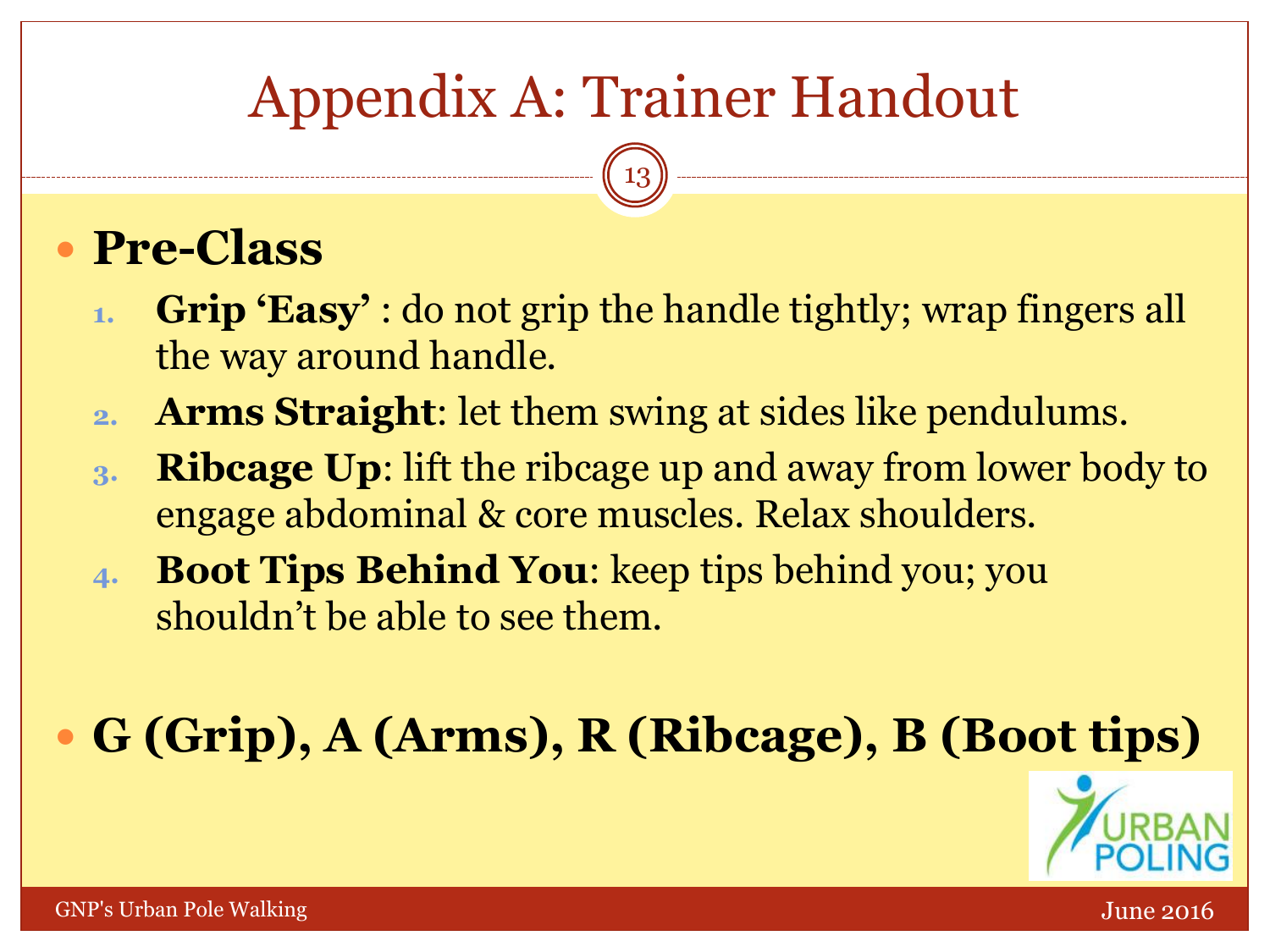# Appendix A: Trainer Handout

13

## **Pre-Class**

- **1. Grip 'Easy'** : do not grip the handle tightly; wrap fingers all the way around handle.
- **2. Arms Straight**: let them swing at sides like pendulums.
- **3. Ribcage Up**: lift the ribcage up and away from lower body to engage abdominal & core muscles. Relax shoulders.
- **4. Boot Tips Behind You**: keep tips behind you; you shouldn't be able to see them.

**G (Grip), A (Arms), R (Ribcage), B (Boot tips)**

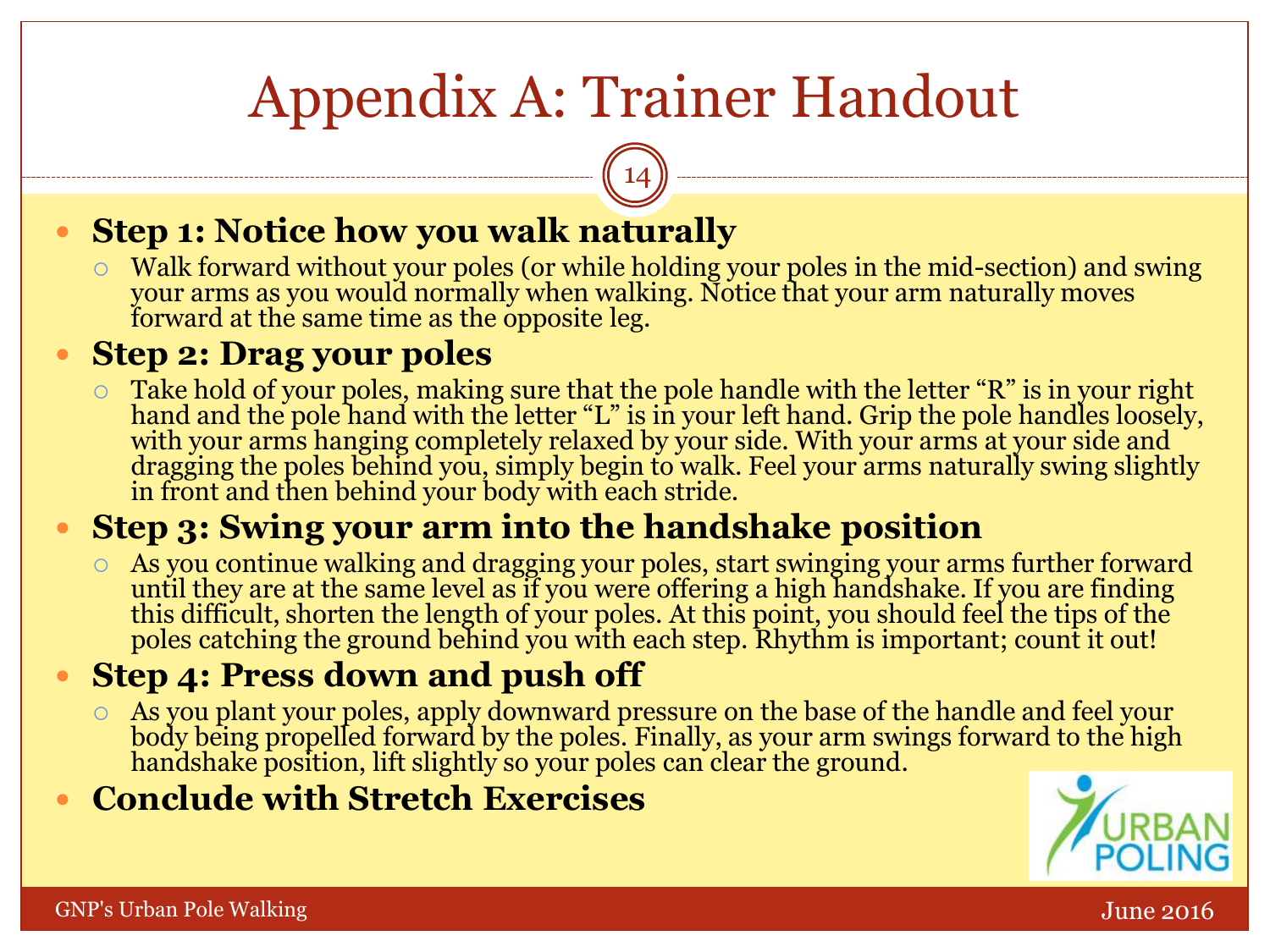# Appendix A: Trainer Handout

14

#### **Step 1: Notice how you walk naturally**

 Walk forward without your poles (or while holding your poles in the mid-section) and swing your arms as you would normally when walking. Notice that your arm naturally moves forward at the same time as the opposite leg.

#### **Step 2: Drag your poles**

 Take hold of your poles, making sure that the pole handle with the letter "R" is in your right hand and the pole hand with the letter "L" is in your left hand. Grip the pole handles loosely, with your arms hanging completely relaxed by your side. With your arms at your side and dragging the poles behind you, simply begin to walk. Feel your arms naturally swing slightly in front and then behind your body with each stride.

#### **Step 3: Swing your arm into the handshake position**

 As you continue walking and dragging your poles, start swinging your arms further forward until they are at the same level as if you were offering a high handshake. If you are finding this difficult, shorten the length of your poles. At this point, you should feel the tips of the poles catching the ground behind you with each step. Rhythm is important; count it out!

#### **Step 4: Press down and push off**

 As you plant your poles, apply downward pressure on the base of the handle and feel your body being propelled forward by the poles. Finally, as your arm swings forward to the high handshake position, lift slightly so your poles can clear the ground.

#### **Conclude with Stretch Exercises**

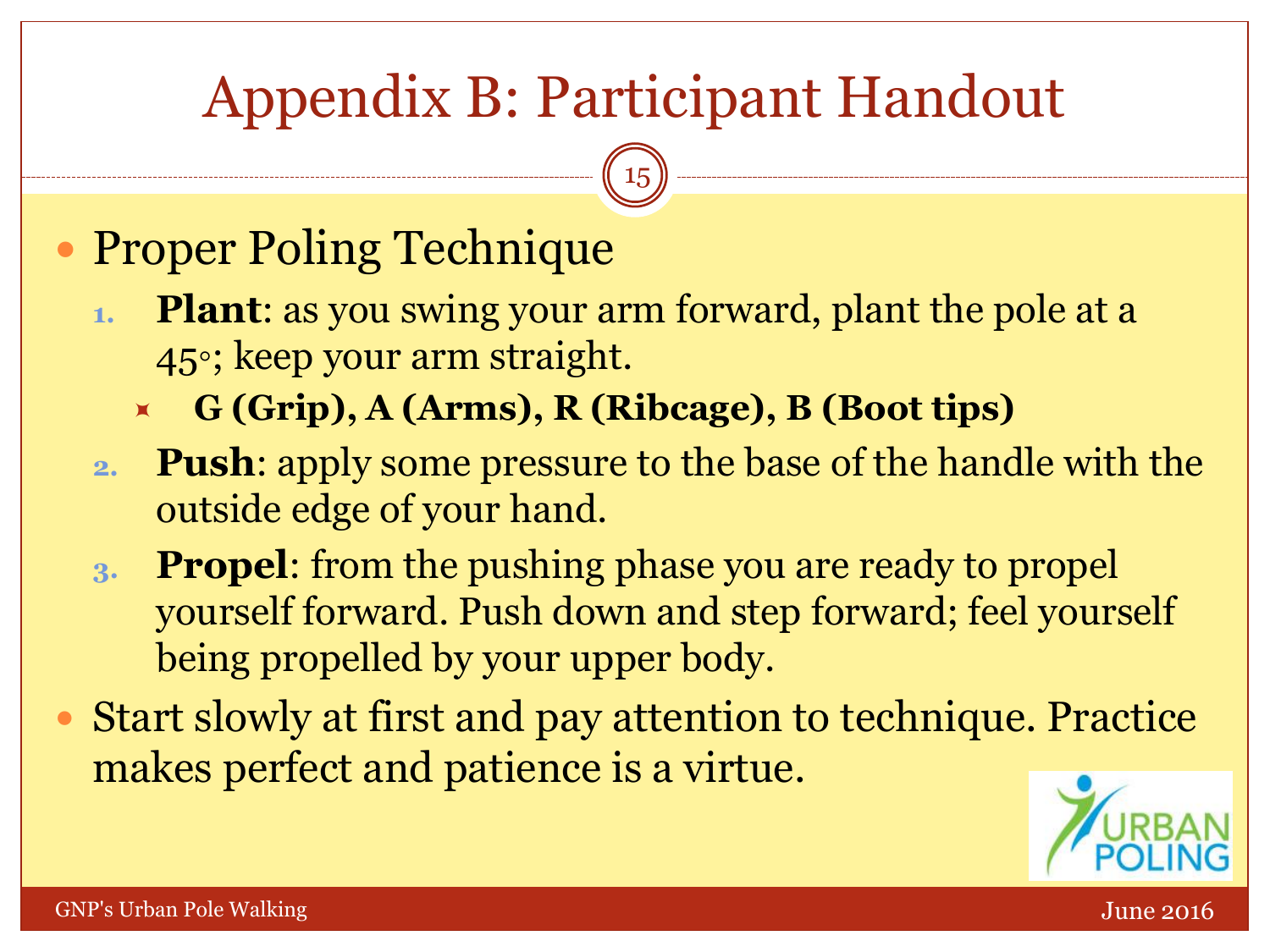# Appendix B: Participant Handout

15

## • Proper Poling Technique

- **1. Plant**: as you swing your arm forward, plant the pole at a 45◦; keep your arm straight.
	- **G (Grip), A (Arms), R (Ribcage), B (Boot tips)**
- **2. Push**: apply some pressure to the base of the handle with the outside edge of your hand.
- **3. Propel**: from the pushing phase you are ready to propel yourself forward. Push down and step forward; feel yourself being propelled by your upper body.
- Start slowly at first and pay attention to technique. Practice makes perfect and patience is a virtue.